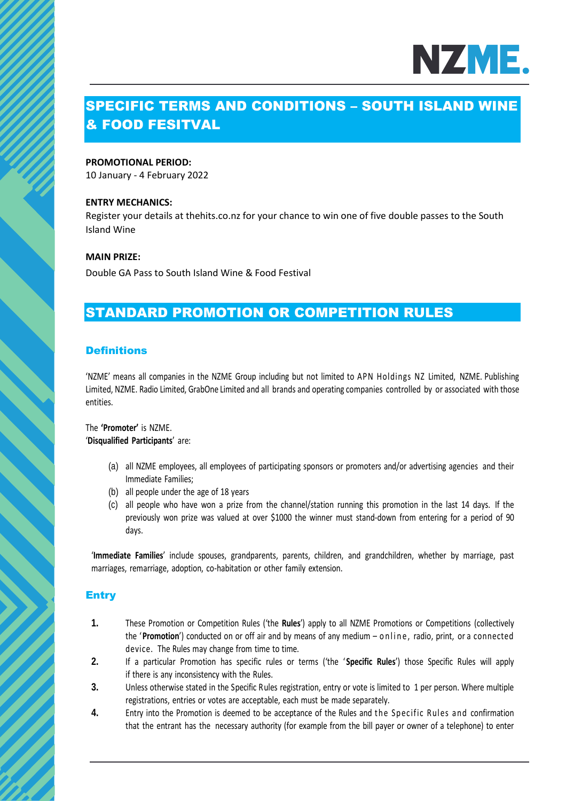

# SPECIFIC TERMS AND CONDITIONS – SOUTH ISLAND WINE & FOOD FESITVAL

#### **PROMOTIONAL PERIOD:**

10 January - 4 February 2022

#### **ENTRY MECHANICS:**

Register your details at thehits.co.nz for your chance to win one of five double passes to the South Island Wine

#### **MAIN PRIZE:**

Double GA Pass to South Island Wine & Food Festival

## STANDARD PROMOTION OR COMPETITION RULES

#### **Definitions**

'NZME' means all companies in the NZME Group including but not limited to APN Holdings NZ Limited, NZME. Publishing Limited, NZME. Radio Limited, GrabOne Limited and all brands and operating companies controlled by or associated with those entities.

#### The **'Promoter'** is NZME. '**Disqualified Participants**' are:

- (a) all NZME employees, all employees of participating sponsors or promoters and/or advertising agencies and their Immediate Families;
- (b) all people under the age of 18 years
- (c) all people who have won a prize from the channel/station running this promotion in the last 14 days. If the previously won prize was valued at over \$1000 the winner must stand-down from entering for a period of 90 days.

'**Immediate Families**' include spouses, grandparents, parents, children, and grandchildren, whether by marriage, past marriages, remarriage, adoption, co-habitation or other family extension.

#### **Entry**

- **1.** These Promotion or Competition Rules ('the **Rules**') apply to all NZME Promotions or Competitions (collectively the '**Promotion**') conducted on or off air and by means of any medium – online, radio, print, or a connected device. The Rules may change from time to time.
- **2.** If a particular Promotion has specific rules or terms ('the ' **Specific Rules**') those Specific Rules will apply if there is any inconsistency with the Rules.
- **3.** Unless otherwise stated in the Specific Rules registration, entry or vote is limited to 1 per person. Where multiple registrations, entries or votes are acceptable, each must be made separately.
- **4.** Entry into the Promotion is deemed to be acceptance of the Rules and the Specific Rules and confirmation that the entrant has the necessary authority (for example from the bill payer or owner of a telephone) to enter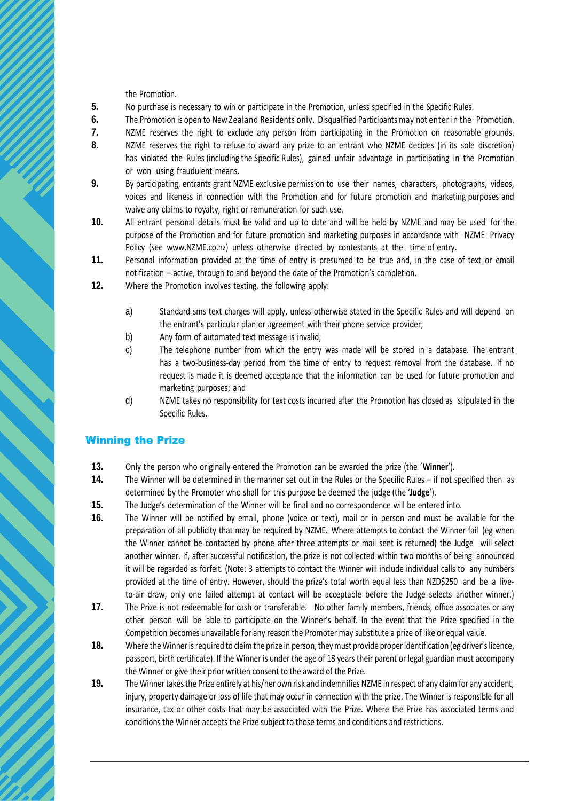the Promotion.

- **5.** No purchase is necessary to win or participate in the Promotion, unless specified in the Specific Rules.
- **6.** The Promotion is open to New Zealand Residents only. Disqualified Participants may not enter in the Promotion.
- **7.** NZME reserves the right to exclude any person from participating in the Promotion on reasonable grounds.
- **8.** NZME reserves the right to refuse to award any prize to an entrant who NZME decides (in its sole discretion) has violated the Rules (including the Specific Rules), gained unfair advantage in participating in the Promotion or won using fraudulent means.
- **9.** By participating, entrants grant NZME exclusive permission to use their names, characters, photographs, videos, voices and likeness in connection with the Promotion and for future promotion and marketing purposes and waive any claims to royalty, right or remuneration for such use.
- **10.** All entrant personal details must be valid and up to date and will be held by NZME and may be used for the purpose of the Promotion and for future promotion and marketing purposes in accordance with NZME Privacy Policy (see www.NZME.co.nz) unless otherwise directed by contestants at the time of entry.
- **11.** Personal information provided at the time of entry is presumed to be true and, in the case of text or email notification – active, through to and beyond the date of the Promotion's completion.
- **12.** Where the Promotion involves texting, the following apply:
	- a) Standard sms text charges will apply, unless otherwise stated in the Specific Rules and will depend on the entrant's particular plan or agreement with their phone service provider;
	- b) Any form of automated text message is invalid;
	- c) The telephone number from which the entry was made will be stored in a database. The entrant has a two-business-day period from the time of entry to request removal from the database. If no request is made it is deemed acceptance that the information can be used for future promotion and marketing purposes; and
	- d) NZME takes no responsibility for text costs incurred after the Promotion has closed as stipulated in the Specific Rules.

#### Winning the Prize

- **13.** Only the person who originally entered the Promotion can be awarded the prize (the '**Winner**').
- **14.** The Winner will be determined in the manner set out in the Rules or the Specific Rules if not specified then as determined by the Promoter who shall for this purpose be deemed the judge (the '**Judge**').
- **15.** The Judge's determination of the Winner will be final and no correspondence will be entered into.
- **16.** The Winner will be notified by email, phone (voice or text), mail or in person and must be available for the preparation of all publicity that may be required by NZME. Where attempts to contact the Winner fail (eg when the Winner cannot be contacted by phone after three attempts or mail sent is returned) the Judge will select another winner. If, after successful notification, the prize is not collected within two months of being announced it will be regarded as forfeit. (Note: 3 attempts to contact the Winner will include individual calls to any numbers provided at the time of entry. However, should the prize's total worth equal less than NZD\$250 and be a liveto-air draw, only one failed attempt at contact will be acceptable before the Judge selects another winner.)
- **17.** The Prize is not redeemable for cash or transferable. No other family members, friends, office associates or any other person will be able to participate on the Winner's behalf. In the event that the Prize specified in the Competition becomes unavailable for any reason the Promoter may substitute a prize of like or equal value.
- **18.** Where the Winner is required to claim the prize in person, they must provide proper identification (eg driver's licence, passport, birth certificate). If the Winner is under the age of 18 years their parent or legal guardian must accompany the Winner or give their prior written consent to the award of the Prize.
- **19.** The Winner takes the Prize entirely at his/her own risk and indemnifies NZME in respect of any claim for any accident, injury, property damage or loss of life that may occur in connection with the prize. The Winner is responsible for all insurance, tax or other costs that may be associated with the Prize. Where the Prize has associated terms and conditions the Winner accepts the Prize subject to those terms and conditions and restrictions.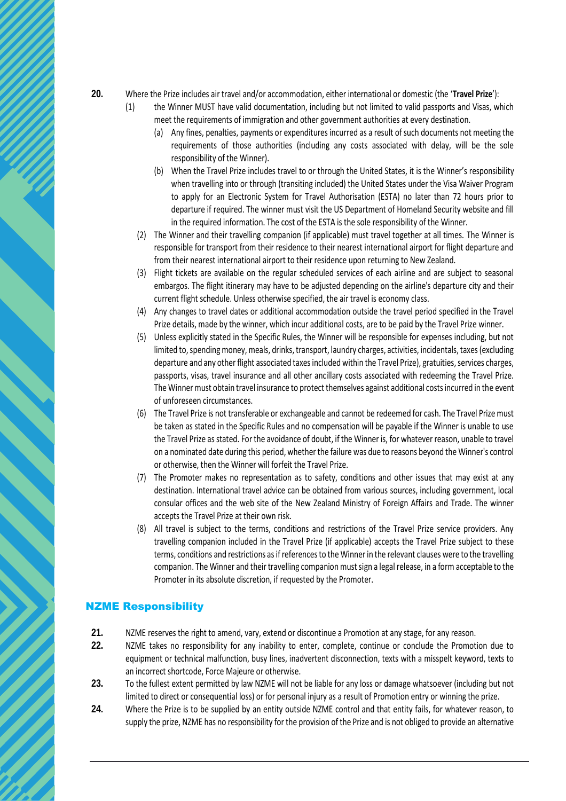- **20.** Where the Prize includes air travel and/or accommodation, either international or domestic (the '**Travel Prize**'):
	- (1) the Winner MUST have valid documentation, including but not limited to valid passports and Visas, which meet the requirements of immigration and other government authorities at every destination.
		- (a) Any fines, penalties, payments or expenditures incurred as a result of such documents not meeting the requirements of those authorities (including any costs associated with delay, will be the sole responsibility of the Winner).
		- (b) When the Travel Prize includes travel to or through the United States, it is the Winner's responsibility when travelling into or through (transiting included) the United States under the Visa Waiver Program to apply for an Electronic System for Travel Authorisation (ESTA) no later than 72 hours prior to departure if required. The winner must visit the US Department of Homeland Security website and fill in the required information. The cost of the ESTA is the sole responsibility of the Winner.
		- (2) The Winner and their travelling companion (if applicable) must travel together at all times. The Winner is responsible for transport from their residence to their nearest international airport for flight departure and from their nearest international airport to their residence upon returning to New Zealand.
		- (3) Flight tickets are available on the regular scheduled services of each airline and are subject to seasonal embargos. The flight itinerary may have to be adjusted depending on the airline's departure city and their current flight schedule. Unless otherwise specified, the air travel is economy class.
		- (4) Any changes to travel dates or additional accommodation outside the travel period specified in the Travel Prize details, made by the winner, which incur additional costs, are to be paid by the Travel Prize winner.
		- (5) Unless explicitly stated in the Specific Rules, the Winner will be responsible for expenses including, but not limited to, spending money, meals, drinks, transport, laundry charges, activities, incidentals, taxes (excluding departure and any other flight associated taxes included within the Travel Prize), gratuities, services charges, passports, visas, travel insurance and all other ancillary costs associated with redeeming the Travel Prize. The Winner must obtain travel insurance to protect themselves against additional costs incurred in the event of unforeseen circumstances.
		- (6) The Travel Prize is not transferable or exchangeable and cannot be redeemed for cash. The Travel Prize must be taken as stated in the Specific Rules and no compensation will be payable if the Winner is unable to use the Travel Prize as stated. For the avoidance of doubt, if the Winner is, for whatever reason, unable to travel on a nominated date during this period, whether the failure was due to reasons beyond the Winner's control or otherwise, then the Winner will forfeit the Travel Prize.
		- (7) The Promoter makes no representation as to safety, conditions and other issues that may exist at any destination. International travel advice can be obtained from various sources, including government, local consular offices and the web site of the New Zealand Ministry of Foreign Affairs and Trade. The winner accepts the Travel Prize at their own risk.
		- (8) All travel is subject to the terms, conditions and restrictions of the Travel Prize service providers. Any travelling companion included in the Travel Prize (if applicable) accepts the Travel Prize subject to these terms, conditions and restrictions as if references to the Winner in the relevant clauses were to the travelling companion. The Winner and their travelling companion must sign a legal release, in a form acceptable to the Promoter in its absolute discretion, if requested by the Promoter.

#### NZME Responsibility

- **21.** NZME reserves the right to amend, vary, extend or discontinue a Promotion at any stage, for any reason.
- **22.** NZME takes no responsibility for any inability to enter, complete, continue or conclude the Promotion due to equipment or technical malfunction, busy lines, inadvertent disconnection, texts with a misspelt keyword, texts to an incorrect shortcode, Force Majeure or otherwise.
- **23.** To the fullest extent permitted by law NZME will not be liable for any loss or damage whatsoever (including but not limited to direct or consequential loss) or for personal injury as a result of Promotion entry or winning the prize.
- **24.** Where the Prize is to be supplied by an entity outside NZME control and that entity fails, for whatever reason, to supply the prize, NZME has no responsibility for the provision of the Prize and is not obliged to provide an alternative